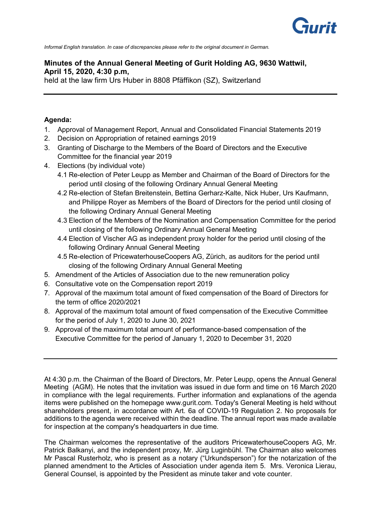

*Informal English translation. In case of discrepancies please refer to the original document in German.*

# **Minutes of the Annual General Meeting of Gurit Holding AG, 9630 Wattwil, April 15, 2020, 4:30 p.m,**

held at the law firm Urs Huber in 8808 Pfäffikon (SZ), Switzerland

## **Agenda:**

- 1. Approval of Management Report, Annual and Consolidated Financial Statements 2019
- 2. Decision on Appropriation of retained earnings 2019
- 3. Granting of Discharge to the Members of the Board of Directors and the Executive Committee for the financial year 2019
- 4. Elections (by individual vote)
	- 4.1 Re-election of Peter Leupp as Member and Chairman of the Board of Directors for the period until closing of the following Ordinary Annual General Meeting
	- 4.2 Re-election of Stefan Breitenstein, Bettina Gerharz-Kalte, Nick Huber, Urs Kaufmann, and Philippe Royer as Members of the Board of Directors for the period until closing of the following Ordinary Annual General Meeting
	- 4.3 Election of the Members of the Nomination and Compensation Committee for the period until closing of the following Ordinary Annual General Meeting
	- 4.4 Election of Vischer AG as independent proxy holder for the period until closing of the following Ordinary Annual General Meeting
	- 4.5 Re-election of PricewaterhouseCoopers AG, Zürich, as auditors for the period until closing of the following Ordinary Annual General Meeting
- 5. Amendment of the Articles of Association due to the new remuneration policy
- 6. Consultative vote on the Compensation report 2019
- 7. Approval of the maximum total amount of fixed compensation of the Board of Directors for the term of office 2020/2021
- 8. Approval of the maximum total amount of fixed compensation of the Executive Committee for the period of July 1, 2020 to June 30, 2021
- 9. Approval of the maximum total amount of performance-based compensation of the Executive Committee for the period of January 1, 2020 to December 31, 2020

At 4:30 p.m. the Chairman of the Board of Directors, Mr. Peter Leupp, opens the Annual General Meeting (AGM). He notes that the invitation was issued in due form and time on 16 March 2020 in compliance with the legal requirements. Further information and explanations of the agenda items were published on the homepage www.gurit.com. Today's General Meeting is held without shareholders present, in accordance with Art. 6a of COVID-19 Regulation 2. No proposals for additions to the agenda were received within the deadline. The annual report was made available for inspection at the company's headquarters in due time.

The Chairman welcomes the representative of the auditors PricewaterhouseCoopers AG, Mr. Patrick Balkanyi, and the independent proxy, Mr. Jürg Luginbühl. The Chairman also welcomes Mr Pascal Rusterholz, who is present as a notary ("Urkundsperson") for the notarization of the planned amendment to the Articles of Association under agenda item 5. Mrs. Veronica Lierau, General Counsel, is appointed by the President as minute taker and vote counter.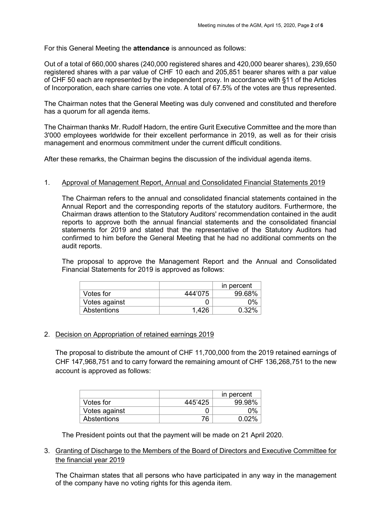For this General Meeting the **attendance** is announced as follows:

Out of a total of 660,000 shares (240,000 registered shares and 420,000 bearer shares), 239,650 registered shares with a par value of CHF 10 each and 205,851 bearer shares with a par value of CHF 50 each are represented by the independent proxy. In accordance with §11 of the Articles of Incorporation, each share carries one vote. A total of 67.5% of the votes are thus represented.

The Chairman notes that the General Meeting was duly convened and constituted and therefore has a quorum for all agenda items.

The Chairman thanks Mr. Rudolf Hadorn, the entire Gurit Executive Committee and the more than 3'000 employees worldwide for their excellent performance in 2019, as well as for their crisis management and enormous commitment under the current difficult conditions.

After these remarks, the Chairman begins the discussion of the individual agenda items.

## 1. Approval of Management Report, Annual and Consolidated Financial Statements 2019

The Chairman refers to the annual and consolidated financial statements contained in the Annual Report and the corresponding reports of the statutory auditors. Furthermore, the Chairman draws attention to the Statutory Auditors' recommendation contained in the audit reports to approve both the annual financial statements and the consolidated financial statements for 2019 and stated that the representative of the Statutory Auditors had confirmed to him before the General Meeting that he had no additional comments on the audit reports.

The proposal to approve the Management Report and the Annual and Consolidated Financial Statements for 2019 is approved as follows:

|               |         | in percent |
|---------------|---------|------------|
| Votes for     | 444'075 | 99.68%     |
| Votes against |         | በ%         |
| Abstentions   | 1.426   | በ 32%      |

### 2. Decision on Appropriation of retained earnings 2019

The proposal to distribute the amount of CHF 11,700,000 from the 2019 retained earnings of CHF 147,968,751 and to carry forward the remaining amount of CHF 136,268,751 to the new account is approved as follows:

|               |         | in percent |
|---------------|---------|------------|
| Votes for     | 445'425 | 99.98%     |
| Votes against |         | $0\%$      |
| Abstentions   | 76      | ስ ስን%      |

The President points out that the payment will be made on 21 April 2020.

## 3. Granting of Discharge to the Members of the Board of Directors and Executive Committee for the financial year 2019

The Chairman states that all persons who have participated in any way in the management of the company have no voting rights for this agenda item.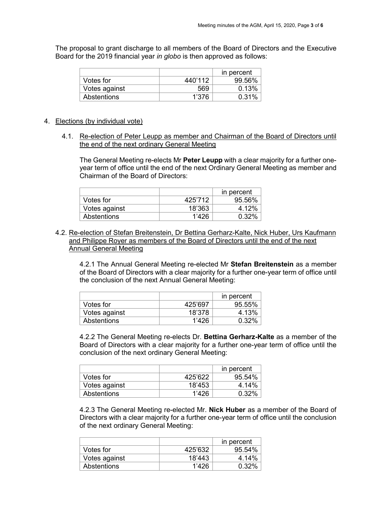The proposal to grant discharge to all members of the Board of Directors and the Executive Board for the 2019 financial year *in globo* is then approved as follows:

|               |         | in percent |
|---------------|---------|------------|
| Votes for     | 440'112 | 99.56%     |
| Votes against | 569     | 0.13%      |
| Abstentions   | 1'376   | 0.31%      |

### 4. Elections (by individual vote)

4.1. Re-election of Peter Leupp as member and Chairman of the Board of Directors until the end of the next ordinary General Meeting

The General Meeting re-elects Mr **Peter Leupp** with a clear majority for a further oneyear term of office until the end of the next Ordinary General Meeting as member and Chairman of the Board of Directors:

|               |         | in percent |
|---------------|---------|------------|
| Votes for     | 425'712 | 95.56%     |
| Votes against | 18'363  | 4 12%      |
| Abstentions   | 1'426   | $0.32\%$   |

4.2. Re-election of Stefan Breitenstein, Dr Bettina Gerharz-Kalte, Nick Huber, Urs Kaufmann and Philippe Royer as members of the Board of Directors until the end of the next Annual General Meeting

4.2.1 The Annual General Meeting re-elected Mr **Stefan Breitenstein** as a member of the Board of Directors with a clear majority for a further one-year term of office until the conclusion of the next Annual General Meeting:

|               |         | in percent |
|---------------|---------|------------|
| Votes for     | 425'697 | 95.55%     |
| Votes against | 18'378  | 4.13%      |
| Abstentions   | 1'426   | $0.32\%$   |

4.2.2 The General Meeting re-elects Dr. **Bettina Gerharz-Kalte** as a member of the Board of Directors with a clear majority for a further one-year term of office until the conclusion of the next ordinary General Meeting:

|               |         | in percent |
|---------------|---------|------------|
| Votes for     | 425'622 | $95.54\%$  |
| Votes against | 18'453  | 4.14%      |
| Abstentions   | 1'426   | በ 32%      |

4.2.3 The General Meeting re-elected Mr. **Nick Huber** as a member of the Board of Directors with a clear majority for a further one-year term of office until the conclusion of the next ordinary General Meeting:

|               |         | in percent |
|---------------|---------|------------|
| Votes for     | 425'632 | $95.54\%$  |
| Votes against | 18'443  | 4 14%      |
| Abstentions   | 1'426   | 0.32%      |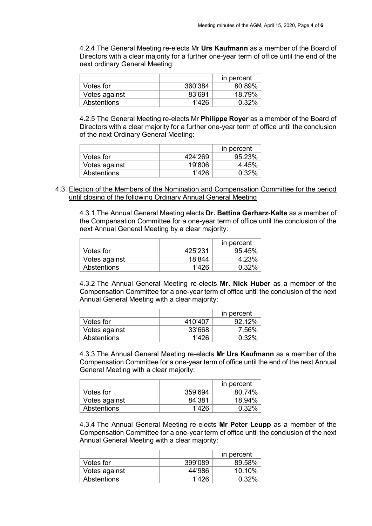4.2.4 The General Meeting re-elects Mr **Urs Kaufmann** as a member of the Board of Directors with a clear majority for a further one-year term of office until the end of the next ordinary General Meeting:

|               |         | in percent |
|---------------|---------|------------|
| Votes for     | 360'384 | 80.89%     |
| Votes against | 83'691  | 18.79%     |
| Abstentions   | 1'426   | $0.32\%$   |

4.2.5 The General Meeting re-elects Mr **Philippe Royer** as a member of the Board of Directors with a clear majority for a further one-year term of office until the conclusion of the next Ordinary General Meeting:

|               |          | in percent |
|---------------|----------|------------|
| Votes for     | 424'269  | 95.23%     |
| Votes against | 19'806   | 4.45%      |
| Abstentions   | $1'$ 426 | $0.32\%$   |

4.3. Election of the Members of the Nomination and Compensation Committee for the period until closing of the following Ordinary Annual General Meeting

4.3.1 The Annual General Meeting elects **Dr. Bettina Gerharz-Kalte** as a member of the Compensation Committee for a one-year term of office until the conclusion of the next Annual General Meeting by a clear majority:

|               |          | in percent |
|---------------|----------|------------|
| Votes for     | 425'231  | 95.45%     |
| Votes against | 18'844   | 4.23%      |
| Abstentions   | $1'$ 426 | $0.32\%$   |

4.3.2 The Annual General Meeting re-elects **Mr. Nick Huber** as a member of the Compensation Committee for a one-year term of office until the conclusion of the next Annual General Meeting with a clear majority:

|               |         | in percent |
|---------------|---------|------------|
| Votes for     | 410'407 | 9212%      |
| Votes against | 33'668  | 7.56%      |
| Abstentions   | 1'426   | 0.32%      |

4.3.3 The Annual General Meeting re-elects **Mr Urs Kaufmann** as a member of the Compensation Committee for a one-year term of office until the end of the next Annual General Meeting with a clear majority:

|               |         | in percent |
|---------------|---------|------------|
| Votes for     | 359'694 | 80.74%     |
| Votes against | 84'381  | 18.94%     |
| Abstentions   | 1'426   | $0.32\%$   |

4.3.4 The Annual General Meeting re-elects **Mr Peter Leupp** as a member of the Compensation Committee for a one-year term of office until the conclusion of the next Annual General Meeting with a clear majority:

|               |         | in percent |
|---------------|---------|------------|
| Votes for     | 399'089 | 89.58%     |
| Votes against | 44'986  | $10.10\%$  |
| Abstentions   | 1'426   | በ 32%      |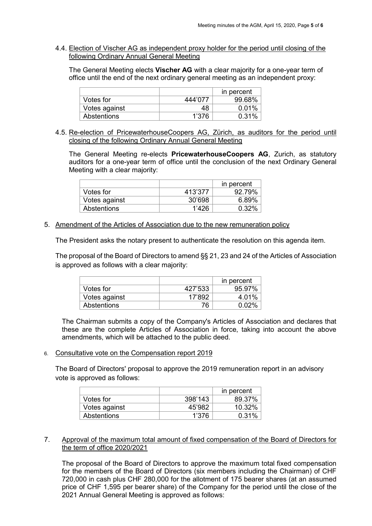4.4. Election of Vischer AG as independent proxy holder for the period until closing of the following Ordinary Annual General Meeting

The General Meeting elects **Vischer AG** with a clear majority for a one-year term of office until the end of the next ordinary general meeting as an independent proxy:

|               |         | in percent |
|---------------|---------|------------|
| Votes for     | 444'077 | 99.68%     |
| Votes against | 48      | $0.01\%$   |
| Abstentions   | 1'376   | 0.31%      |

4.5. Re-election of PricewaterhouseCoopers AG, Zürich, as auditors for the period until closing of the following Ordinary Annual General Meeting

The General Meeting re-elects **PricewaterhouseCoopers AG**, Zurich, as statutory auditors for a one-year term of office until the conclusion of the next Ordinary General Meeting with a clear majority:

|               |         | in percent    |
|---------------|---------|---------------|
| Votes for     | 413'377 | 92.79%        |
| Votes against | 30'698  | <u> 6 ጸ9%</u> |
| Abstentions   | 1'196   | በ 32%         |

### 5. Amendment of the Articles of Association due to the new remuneration policy

The President asks the notary present to authenticate the resolution on this agenda item.

The proposal of the Board of Directors to amend §§ 21, 23 and 24 of the Articles of Association is approved as follows with a clear majority:

|               |         | in percent |
|---------------|---------|------------|
| Votes for     | 427'533 | 95.97%     |
| Votes against | 17'892  | 4.01%      |
| Abstentions   | 76      | በ በን%      |

The Chairman submits a copy of the Company's Articles of Association and declares that these are the complete Articles of Association in force, taking into account the above amendments, which will be attached to the public deed.

6. Consultative vote on the Compensation report 2019

The Board of Directors' proposal to approve the 2019 remuneration report in an advisory vote is approved as follows:

|               |         | in percent |
|---------------|---------|------------|
| Votes for     | 398'143 | 89.37%     |
| Votes against | 45'982  | 10.32%     |
| Abstentions   | 1'376   | 0.31%      |

### 7. Approval of the maximum total amount of fixed compensation of the Board of Directors for the term of office 2020/2021

The proposal of the Board of Directors to approve the maximum total fixed compensation for the members of the Board of Directors (six members including the Chairman) of CHF 720,000 in cash plus CHF 280,000 for the allotment of 175 bearer shares (at an assumed price of CHF 1,595 per bearer share) of the Company for the period until the close of the 2021 Annual General Meeting is approved as follows: